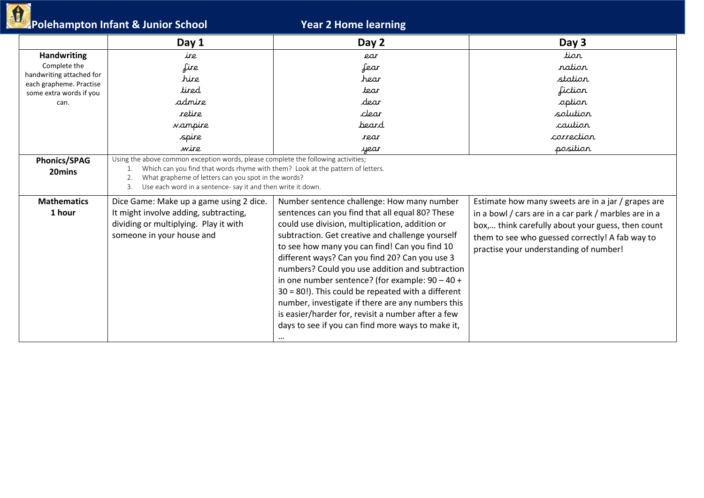|  | Polehampton Infant & Junior School |
|--|------------------------------------|

|                                                                                                                              | Polehampton Infant & Junior School                                                                                                                                                                                                                                                                    | <b>Year 2 Home learning</b>                                                                                                                                                                                                                                                                                                                                                                                                                                                                                                                                                                                                              |                                                                                                                                                                                                                                                               |
|------------------------------------------------------------------------------------------------------------------------------|-------------------------------------------------------------------------------------------------------------------------------------------------------------------------------------------------------------------------------------------------------------------------------------------------------|------------------------------------------------------------------------------------------------------------------------------------------------------------------------------------------------------------------------------------------------------------------------------------------------------------------------------------------------------------------------------------------------------------------------------------------------------------------------------------------------------------------------------------------------------------------------------------------------------------------------------------------|---------------------------------------------------------------------------------------------------------------------------------------------------------------------------------------------------------------------------------------------------------------|
|                                                                                                                              | Day 1                                                                                                                                                                                                                                                                                                 | Day 2                                                                                                                                                                                                                                                                                                                                                                                                                                                                                                                                                                                                                                    | Day 3                                                                                                                                                                                                                                                         |
| <b>Handwriting</b><br>Complete the<br>handwriting attached for<br>each grapheme. Practise<br>some extra words if you<br>can. | ire<br>fire<br>hire<br>tired<br>admire<br>retire<br><i>va</i> mpire<br>spire<br>wire                                                                                                                                                                                                                  | ear<br>fear<br>hear<br>tear<br>dear<br>clear<br>beard<br>rear<br>year                                                                                                                                                                                                                                                                                                                                                                                                                                                                                                                                                                    | tior<br>ration<br>station<br>fiction<br>option<br>solution<br>caution<br>correction<br>position                                                                                                                                                               |
| <b>Phonics/SPAG</b><br>20mins                                                                                                | Using the above common exception words, please complete the following activities;<br>Which can you find that words rhyme with them? Look at the pattern of letters.<br>What grapheme of letters can you spot in the words?<br>2.<br>Use each word in a sentence- say it and then write it down.<br>3. |                                                                                                                                                                                                                                                                                                                                                                                                                                                                                                                                                                                                                                          |                                                                                                                                                                                                                                                               |
| <b>Mathematics</b><br>1 hour                                                                                                 | Dice Game: Make up a game using 2 dice.<br>It might involve adding, subtracting,<br>dividing or multiplying. Play it with<br>someone in your house and                                                                                                                                                | Number sentence challenge: How many number<br>sentences can you find that all equal 80? These<br>could use division, multiplication, addition or<br>subtraction. Get creative and challenge yourself<br>to see how many you can find! Can you find 10<br>different ways? Can you find 20? Can you use 3<br>numbers? Could you use addition and subtraction<br>in one number sentence? (for example: $90 - 40 +$<br>$30 = 80$ !). This could be repeated with a different<br>number, investigate if there are any numbers this<br>is easier/harder for, revisit a number after a few<br>days to see if you can find more ways to make it, | Estimate how many sweets are in a jar / grapes are<br>in a bowl / cars are in a car park / marbles are in a<br>box, think carefully about your guess, then count<br>them to see who guessed correctly! A fab way to<br>practise your understanding of number! |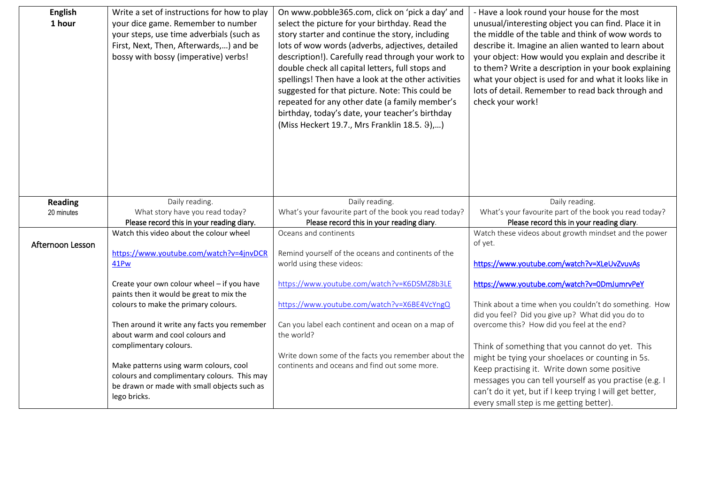| <b>English</b><br>1 hour | Write a set of instructions for how to play<br>your dice game. Remember to number<br>your steps, use time adverbials (such as<br>First, Next, Then, Afterwards,) and be<br>bossy with bossy (imperative) verbs! | On www.pobble365.com, click on 'pick a day' and<br>select the picture for your birthday. Read the<br>story starter and continue the story, including<br>lots of wow words (adverbs, adjectives, detailed<br>description!). Carefully read through your work to<br>double check all capital letters, full stops and<br>spellings! Then have a look at the other activities<br>suggested for that picture. Note: This could be<br>repeated for any other date (a family member's<br>birthday, today's date, your teacher's birthday<br>(Miss Heckert 19.7., Mrs Franklin 18.5. 9),) | - Have a look round your house for the most<br>unusual/interesting object you can find. Place it in<br>the middle of the table and think of wow words to<br>describe it. Imagine an alien wanted to learn about<br>your object: How would you explain and describe it<br>to them? Write a description in your book explaining<br>what your object is used for and what it looks like in<br>lots of detail. Remember to read back through and<br>check your work! |
|--------------------------|-----------------------------------------------------------------------------------------------------------------------------------------------------------------------------------------------------------------|-----------------------------------------------------------------------------------------------------------------------------------------------------------------------------------------------------------------------------------------------------------------------------------------------------------------------------------------------------------------------------------------------------------------------------------------------------------------------------------------------------------------------------------------------------------------------------------|------------------------------------------------------------------------------------------------------------------------------------------------------------------------------------------------------------------------------------------------------------------------------------------------------------------------------------------------------------------------------------------------------------------------------------------------------------------|
| <b>Reading</b>           | Daily reading.                                                                                                                                                                                                  | Daily reading.                                                                                                                                                                                                                                                                                                                                                                                                                                                                                                                                                                    | Daily reading.                                                                                                                                                                                                                                                                                                                                                                                                                                                   |
| 20 minutes               | What story have you read today?<br>Please record this in your reading diary.                                                                                                                                    | What's your favourite part of the book you read today?<br>Please record this in your reading diary.                                                                                                                                                                                                                                                                                                                                                                                                                                                                               | What's your favourite part of the book you read today?<br>Please record this in your reading diary.                                                                                                                                                                                                                                                                                                                                                              |
| Afternoon Lesson         | Watch this video about the colour wheel<br>https://www.youtube.com/watch?v=4jnvDCR<br>41Pw                                                                                                                      | Oceans and continents<br>Remind yourself of the oceans and continents of the<br>world using these videos:                                                                                                                                                                                                                                                                                                                                                                                                                                                                         | Watch these videos about growth mindset and the power<br>of yet.<br>https://www.youtube.com/watch?v=XLeUvZvuvAs                                                                                                                                                                                                                                                                                                                                                  |
|                          | Create your own colour wheel - if you have                                                                                                                                                                      | https://www.youtube.com/watch?v=K6DSMZ8b3LE                                                                                                                                                                                                                                                                                                                                                                                                                                                                                                                                       | https://www.youtube.com/watch?v=0DmJumrvPeY                                                                                                                                                                                                                                                                                                                                                                                                                      |
|                          | paints then it would be great to mix the<br>colours to make the primary colours.                                                                                                                                | https://www.youtube.com/watch?v=X6BE4VcYngQ                                                                                                                                                                                                                                                                                                                                                                                                                                                                                                                                       | Think about a time when you couldn't do something. How<br>did you feel? Did you give up? What did you do to                                                                                                                                                                                                                                                                                                                                                      |
|                          | Then around it write any facts you remember<br>about warm and cool colours and                                                                                                                                  | Can you label each continent and ocean on a map of<br>the world?                                                                                                                                                                                                                                                                                                                                                                                                                                                                                                                  | overcome this? How did you feel at the end?                                                                                                                                                                                                                                                                                                                                                                                                                      |
|                          | complimentary colours.<br>Make patterns using warm colours, cool<br>colours and complimentary colours. This may<br>be drawn or made with small objects such as<br>lego bricks.                                  | Write down some of the facts you remember about the<br>continents and oceans and find out some more.                                                                                                                                                                                                                                                                                                                                                                                                                                                                              | Think of something that you cannot do yet. This<br>might be tying your shoelaces or counting in 5s.<br>Keep practising it. Write down some positive<br>messages you can tell yourself as you practise (e.g. I<br>can't do it yet, but if I keep trying I will get better,<br>every small step is me getting better).                                                                                                                                             |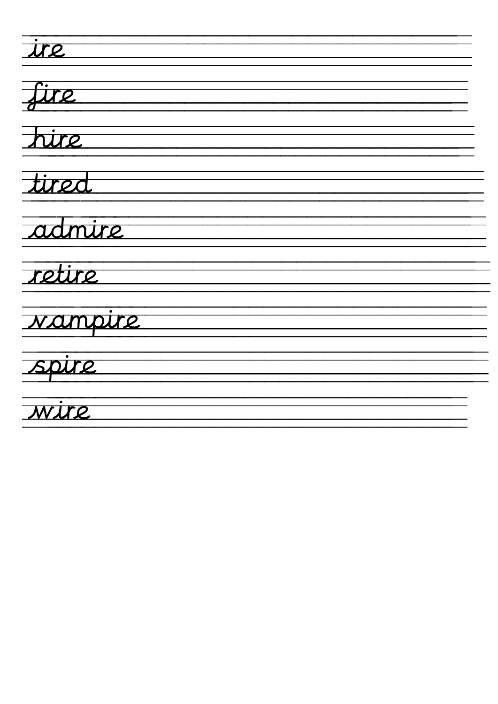$\frac{1}{\text{tr} \epsilon}$ fire hire tired admire retire Nampire<br>Spire<br>Wire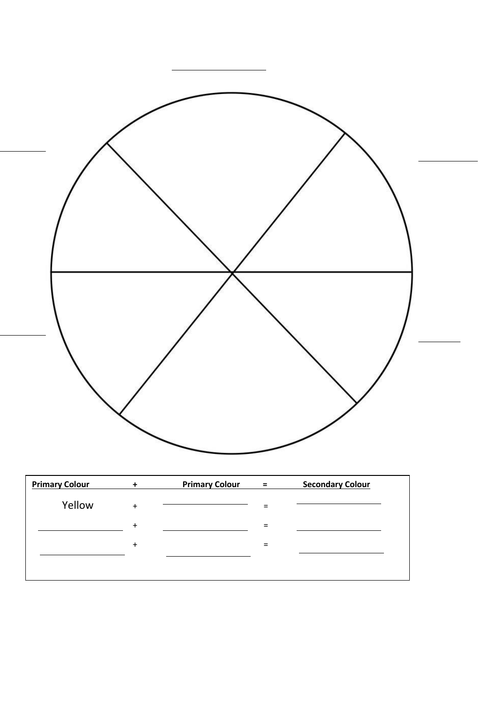

| <b>Primary Colour</b> |           | <b>Primary Colour</b> | $\equiv$ | <b>Secondary Colour</b> |
|-----------------------|-----------|-----------------------|----------|-------------------------|
| Yellow                | $\ddot{}$ |                       |          |                         |
|                       | $\ddot{}$ |                       |          |                         |
|                       | $\ddot{}$ |                       | $\equiv$ |                         |
|                       |           |                       |          |                         |
|                       |           |                       |          |                         |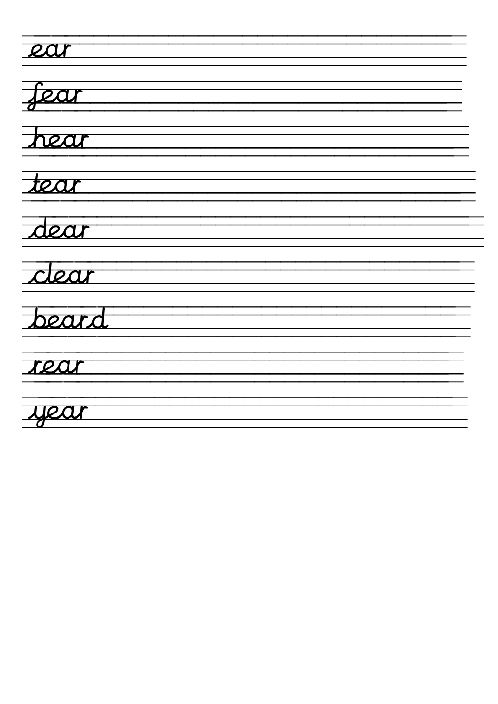| 20    |
|-------|
| fear  |
| hear  |
| tear  |
| dear  |
| clear |
| bears |
| rea   |
| year  |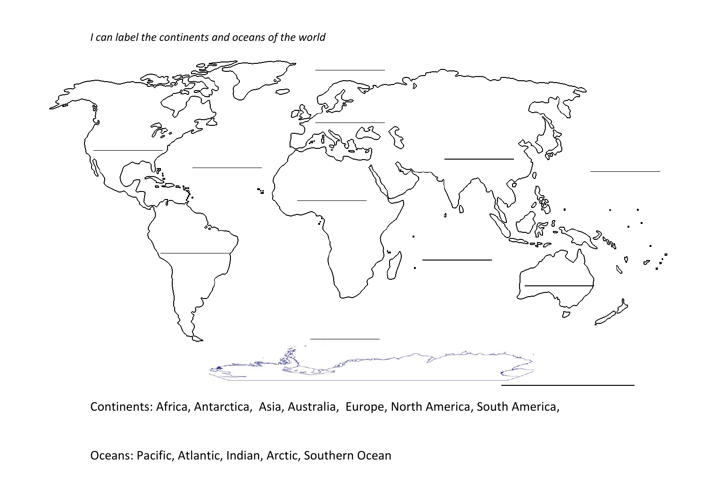*I can label the continents and oceans of the world*



Continents: Africa, Antarctica, Asia, Australia, Europe, North America, South America,

Oceans: Pacific, Atlantic, Indian, Arctic, Southern Ocean